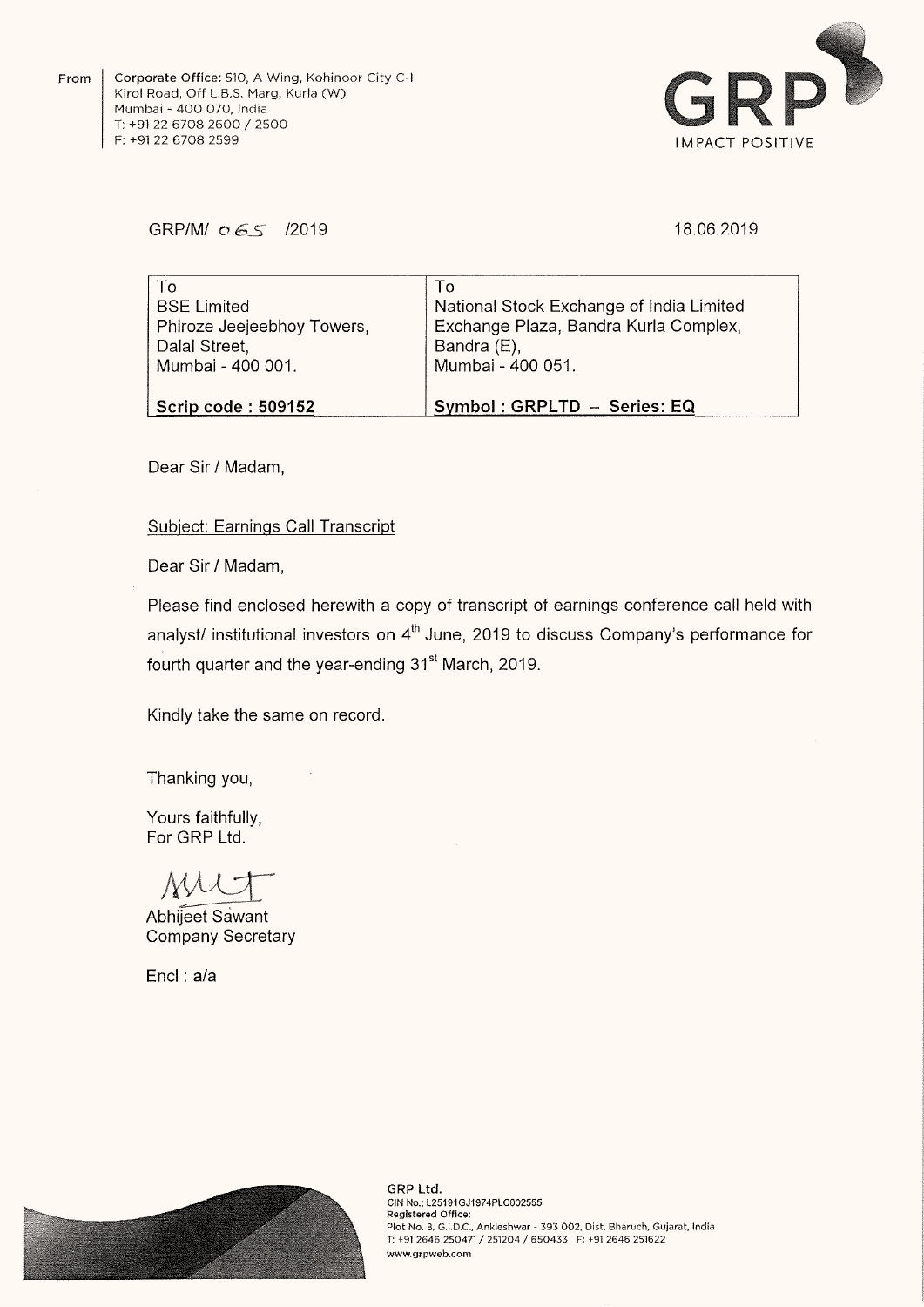From Corporate Office: 510, A Wing, Kohinoor City C-I Kirol Road, Off L.B.S. Marg, Kurla (W) Mumbai <sup>~</sup> 400 070, India T: +91 <sup>22</sup> <sup>6708</sup> <sup>2600</sup> / <sup>2500</sup> F: +9122 6708 2599



## GRP/M/  $065$  /2019

### 18.06.2019

| To                         | To                                       |
|----------------------------|------------------------------------------|
| <b>BSE Limited</b>         | National Stock Exchange of India Limited |
| Phiroze Jeejeebhoy Towers, | Exchange Plaza, Bandra Kurla Complex,    |
| Dalal Street,              | Bandra (E),                              |
| Mumbai - 400 001.          | Mumbai - 400 051.                        |
| <b>Scrip code: 509152</b>  | Symbol: GRPLTD - Series: EQ              |

Dear Sir / Madam,

## Subiect: Earnings Call Transcript

Dear Sir/ Madam,

Please find enclosed herewith <sup>a</sup> copy of transcript of earnings conference call held with analyst/ institutional investors on  $4<sup>th</sup>$  June, 2019 to discuss Company's performance for fourth quarter and the year-ending 31<sup>st</sup> March, 2019.

Kindly take the same on record.

Thanking you,

Yours faithfully, For GRP Ltd.

MU-

Abhijeet Sawant Company Secretary

Encl : a/a



GRP Ltd. CIN No: L25191GJ1974PLC002555 Registered Office: Plot No. 8, G.l.D.C., Ankleshwar <sup>~</sup> 393 002. Dist. Bharuch, Gujarat, India T: +91 <sup>2646</sup> <sup>250471</sup> / <sup>251204</sup> / <sup>650433</sup> F: +91 <sup>2646</sup> <sup>251622</sup> www.grpweb.com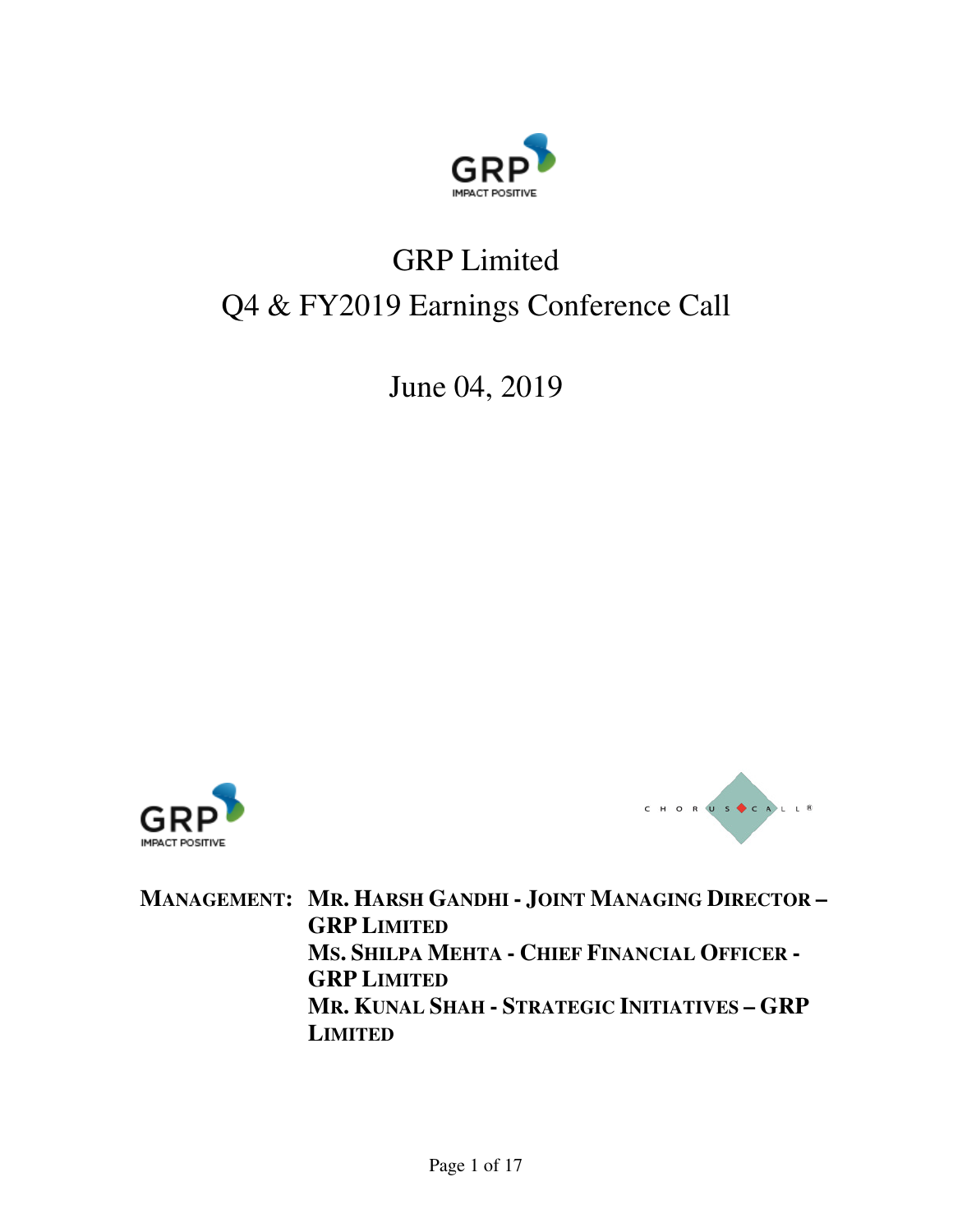

# GRP Limited Q4 & FY2019 Earnings Conference Call

June 04, 2019





**MANAGEMENT: MR. HARSH GANDHI - JOINT MANAGING DIRECTOR – GRP LIMITED MS. SHILPA MEHTA - CHIEF FINANCIAL OFFICER - GRP LIMITED MR. KUNAL SHAH - STRATEGIC INITIATIVES – GRP LIMITED**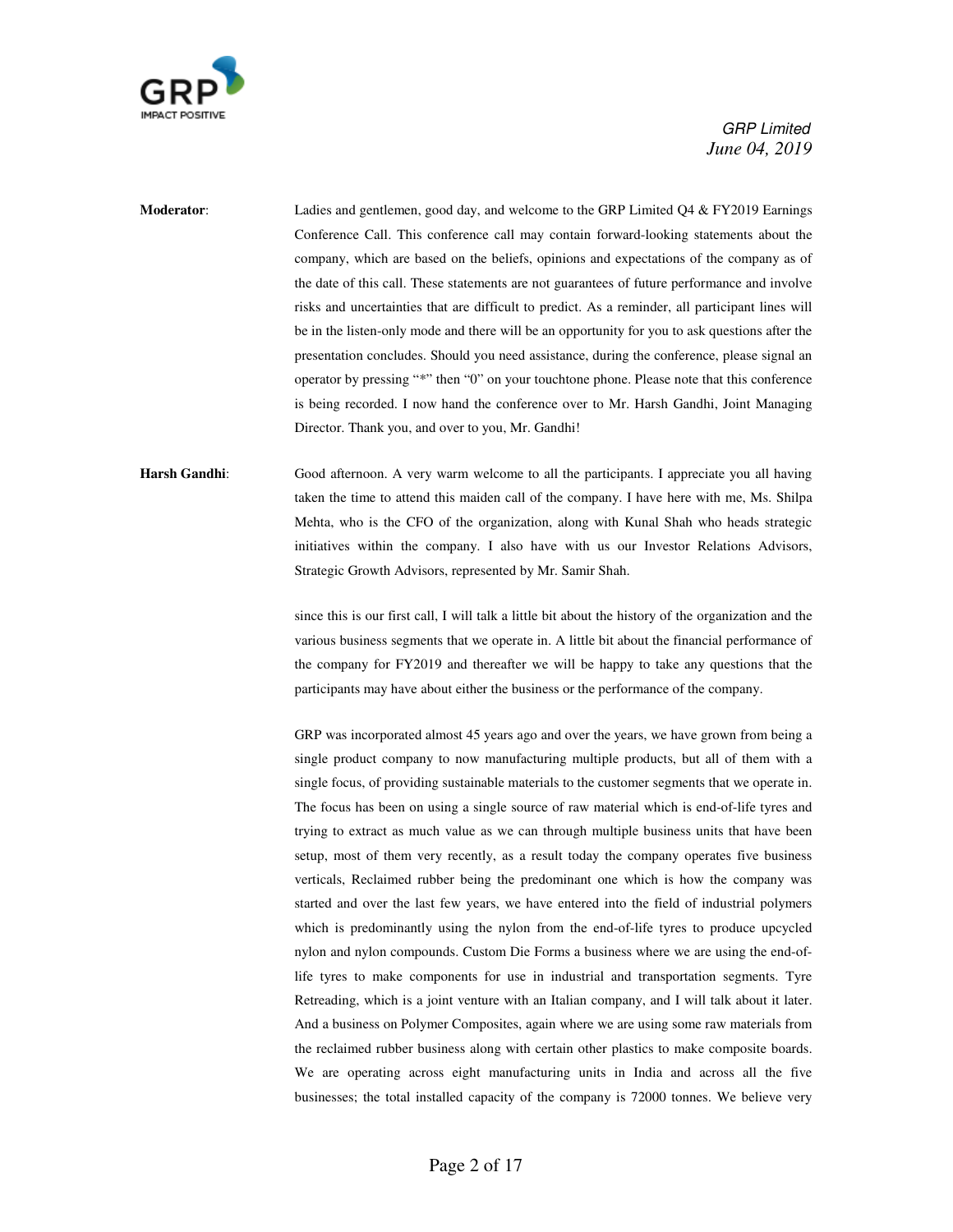

**Moderator**: Ladies and gentlemen, good day, and welcome to the GRP Limited Q4 & FY2019 Earnings Conference Call. This conference call may contain forward-looking statements about the company, which are based on the beliefs, opinions and expectations of the company as of the date of this call. These statements are not guarantees of future performance and involve risks and uncertainties that are difficult to predict. As a reminder, all participant lines will be in the listen-only mode and there will be an opportunity for you to ask questions after the presentation concludes. Should you need assistance, during the conference, please signal an operator by pressing "\*" then "0" on your touchtone phone. Please note that this conference is being recorded. I now hand the conference over to Mr. Harsh Gandhi, Joint Managing Director. Thank you, and over to you, Mr. Gandhi!

Harsh Gandhi: Good afternoon. A very warm welcome to all the participants. I appreciate you all having taken the time to attend this maiden call of the company. I have here with me, Ms. Shilpa Mehta, who is the CFO of the organization, along with Kunal Shah who heads strategic initiatives within the company. I also have with us our Investor Relations Advisors, Strategic Growth Advisors, represented by Mr. Samir Shah.

> since this is our first call, I will talk a little bit about the history of the organization and the various business segments that we operate in. A little bit about the financial performance of the company for FY2019 and thereafter we will be happy to take any questions that the participants may have about either the business or the performance of the company.

> GRP was incorporated almost 45 years ago and over the years, we have grown from being a single product company to now manufacturing multiple products, but all of them with a single focus, of providing sustainable materials to the customer segments that we operate in. The focus has been on using a single source of raw material which is end-of-life tyres and trying to extract as much value as we can through multiple business units that have been setup, most of them very recently, as a result today the company operates five business verticals, Reclaimed rubber being the predominant one which is how the company was started and over the last few years, we have entered into the field of industrial polymers which is predominantly using the nylon from the end-of-life tyres to produce upcycled nylon and nylon compounds. Custom Die Forms a business where we are using the end-oflife tyres to make components for use in industrial and transportation segments. Tyre Retreading, which is a joint venture with an Italian company, and I will talk about it later. And a business on Polymer Composites, again where we are using some raw materials from the reclaimed rubber business along with certain other plastics to make composite boards. We are operating across eight manufacturing units in India and across all the five businesses; the total installed capacity of the company is 72000 tonnes. We believe very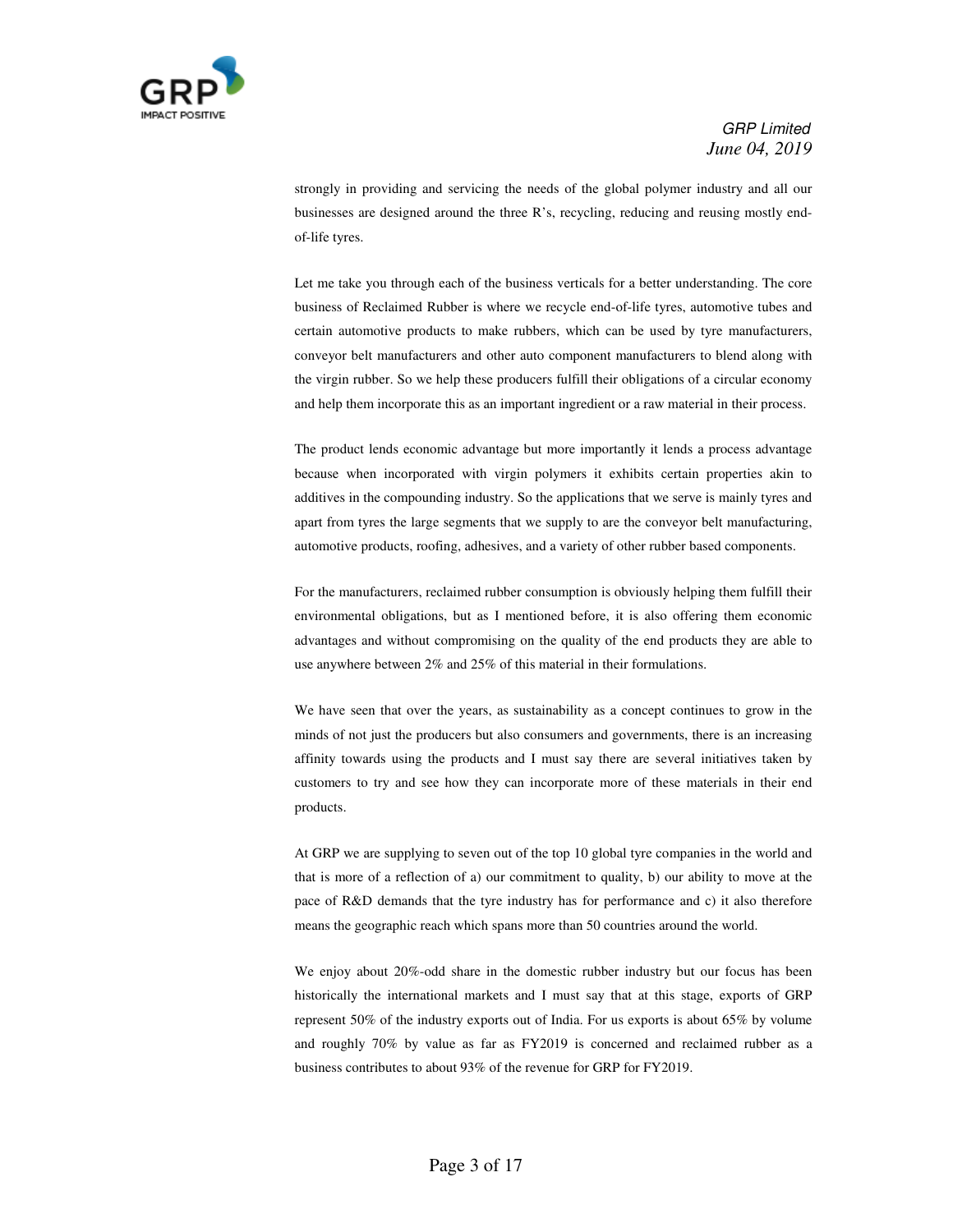

strongly in providing and servicing the needs of the global polymer industry and all our businesses are designed around the three R's, recycling, reducing and reusing mostly endof-life tyres.

 Let me take you through each of the business verticals for a better understanding. The core business of Reclaimed Rubber is where we recycle end-of-life tyres, automotive tubes and certain automotive products to make rubbers, which can be used by tyre manufacturers, conveyor belt manufacturers and other auto component manufacturers to blend along with the virgin rubber. So we help these producers fulfill their obligations of a circular economy and help them incorporate this as an important ingredient or a raw material in their process.

 The product lends economic advantage but more importantly it lends a process advantage because when incorporated with virgin polymers it exhibits certain properties akin to additives in the compounding industry. So the applications that we serve is mainly tyres and apart from tyres the large segments that we supply to are the conveyor belt manufacturing, automotive products, roofing, adhesives, and a variety of other rubber based components.

 For the manufacturers, reclaimed rubber consumption is obviously helping them fulfill their environmental obligations, but as I mentioned before, it is also offering them economic advantages and without compromising on the quality of the end products they are able to use anywhere between 2% and 25% of this material in their formulations.

 We have seen that over the years, as sustainability as a concept continues to grow in the minds of not just the producers but also consumers and governments, there is an increasing affinity towards using the products and I must say there are several initiatives taken by customers to try and see how they can incorporate more of these materials in their end products.

 At GRP we are supplying to seven out of the top 10 global tyre companies in the world and that is more of a reflection of a) our commitment to quality, b) our ability to move at the pace of R&D demands that the tyre industry has for performance and c) it also therefore means the geographic reach which spans more than 50 countries around the world.

 We enjoy about 20%-odd share in the domestic rubber industry but our focus has been historically the international markets and I must say that at this stage, exports of GRP represent 50% of the industry exports out of India. For us exports is about 65% by volume and roughly 70% by value as far as FY2019 is concerned and reclaimed rubber as a business contributes to about 93% of the revenue for GRP for FY2019.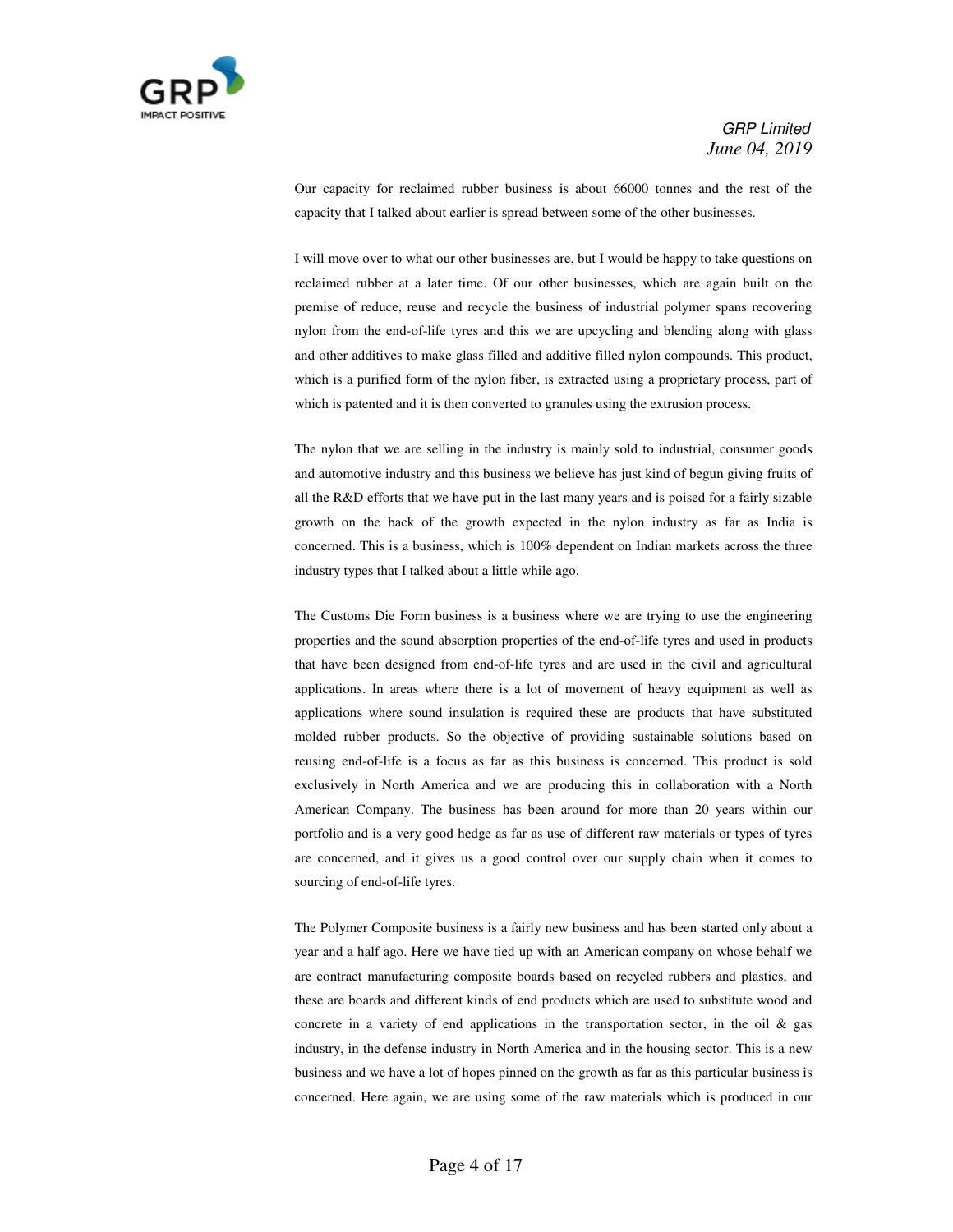

 Our capacity for reclaimed rubber business is about 66000 tonnes and the rest of the capacity that I talked about earlier is spread between some of the other businesses.

 I will move over to what our other businesses are, but I would be happy to take questions on reclaimed rubber at a later time. Of our other businesses, which are again built on the premise of reduce, reuse and recycle the business of industrial polymer spans recovering nylon from the end-of-life tyres and this we are upcycling and blending along with glass and other additives to make glass filled and additive filled nylon compounds. This product, which is a purified form of the nylon fiber, is extracted using a proprietary process, part of which is patented and it is then converted to granules using the extrusion process.

 The nylon that we are selling in the industry is mainly sold to industrial, consumer goods and automotive industry and this business we believe has just kind of begun giving fruits of all the R&D efforts that we have put in the last many years and is poised for a fairly sizable growth on the back of the growth expected in the nylon industry as far as India is concerned. This is a business, which is 100% dependent on Indian markets across the three industry types that I talked about a little while ago.

 The Customs Die Form business is a business where we are trying to use the engineering properties and the sound absorption properties of the end-of-life tyres and used in products that have been designed from end-of-life tyres and are used in the civil and agricultural applications. In areas where there is a lot of movement of heavy equipment as well as applications where sound insulation is required these are products that have substituted molded rubber products. So the objective of providing sustainable solutions based on reusing end-of-life is a focus as far as this business is concerned. This product is sold exclusively in North America and we are producing this in collaboration with a North American Company. The business has been around for more than 20 years within our portfolio and is a very good hedge as far as use of different raw materials or types of tyres are concerned, and it gives us a good control over our supply chain when it comes to sourcing of end-of-life tyres.

 The Polymer Composite business is a fairly new business and has been started only about a year and a half ago. Here we have tied up with an American company on whose behalf we are contract manufacturing composite boards based on recycled rubbers and plastics, and these are boards and different kinds of end products which are used to substitute wood and concrete in a variety of end applications in the transportation sector, in the oil  $\&$  gas industry, in the defense industry in North America and in the housing sector. This is a new business and we have a lot of hopes pinned on the growth as far as this particular business is concerned. Here again, we are using some of the raw materials which is produced in our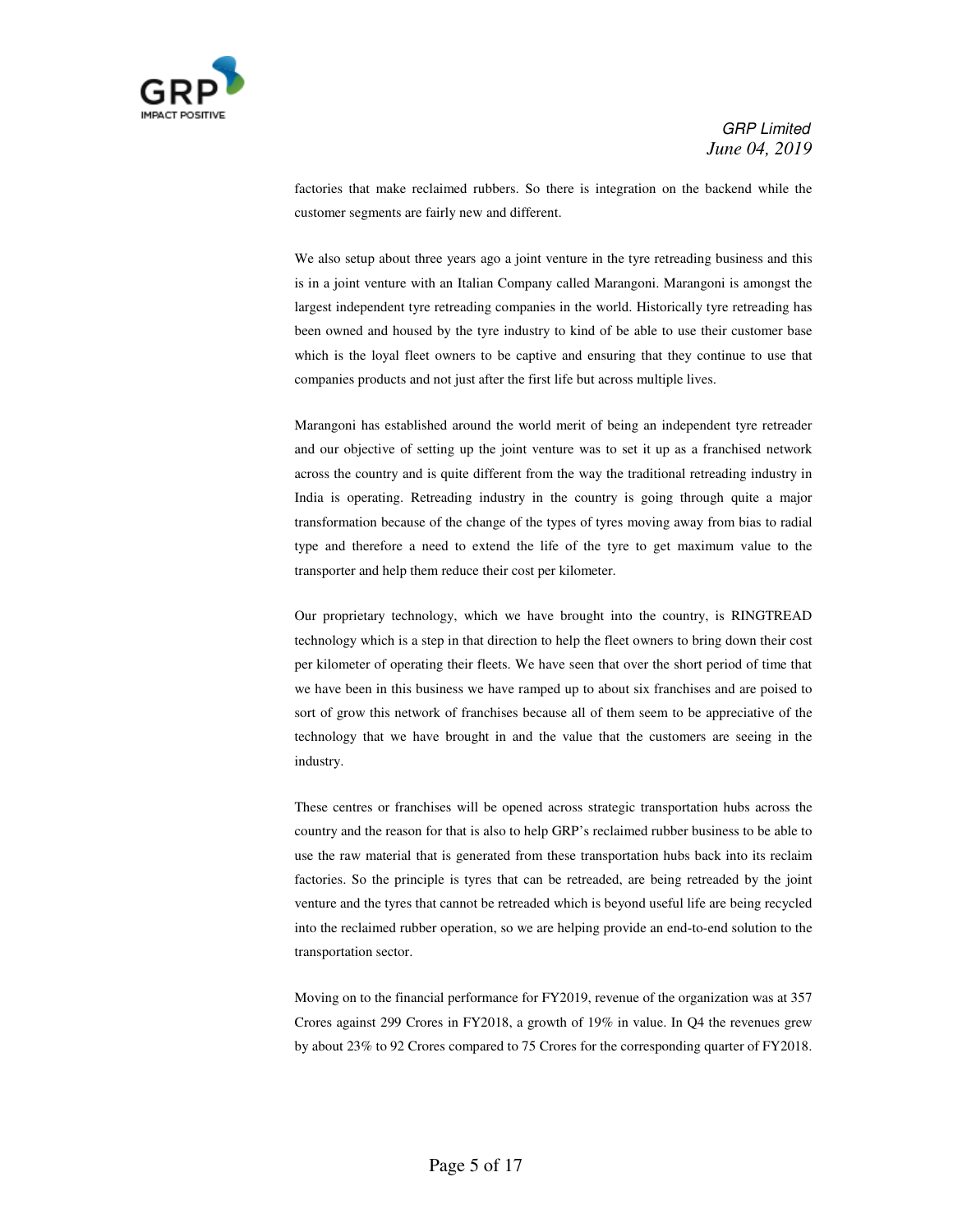

factories that make reclaimed rubbers. So there is integration on the backend while the customer segments are fairly new and different.

We also setup about three years ago a joint venture in the tyre retreading business and this is in a joint venture with an Italian Company called Marangoni. Marangoni is amongst the largest independent tyre retreading companies in the world. Historically tyre retreading has been owned and housed by the tyre industry to kind of be able to use their customer base which is the loyal fleet owners to be captive and ensuring that they continue to use that companies products and not just after the first life but across multiple lives.

 Marangoni has established around the world merit of being an independent tyre retreader and our objective of setting up the joint venture was to set it up as a franchised network across the country and is quite different from the way the traditional retreading industry in India is operating. Retreading industry in the country is going through quite a major transformation because of the change of the types of tyres moving away from bias to radial type and therefore a need to extend the life of the tyre to get maximum value to the transporter and help them reduce their cost per kilometer.

 Our proprietary technology, which we have brought into the country, is RINGTREAD technology which is a step in that direction to help the fleet owners to bring down their cost per kilometer of operating their fleets. We have seen that over the short period of time that we have been in this business we have ramped up to about six franchises and are poised to sort of grow this network of franchises because all of them seem to be appreciative of the technology that we have brought in and the value that the customers are seeing in the industry.

 These centres or franchises will be opened across strategic transportation hubs across the country and the reason for that is also to help GRP's reclaimed rubber business to be able to use the raw material that is generated from these transportation hubs back into its reclaim factories. So the principle is tyres that can be retreaded, are being retreaded by the joint venture and the tyres that cannot be retreaded which is beyond useful life are being recycled into the reclaimed rubber operation, so we are helping provide an end-to-end solution to the transportation sector.

 Moving on to the financial performance for FY2019, revenue of the organization was at 357 Crores against 299 Crores in FY2018, a growth of 19% in value. In Q4 the revenues grew by about 23% to 92 Crores compared to 75 Crores for the corresponding quarter of FY2018.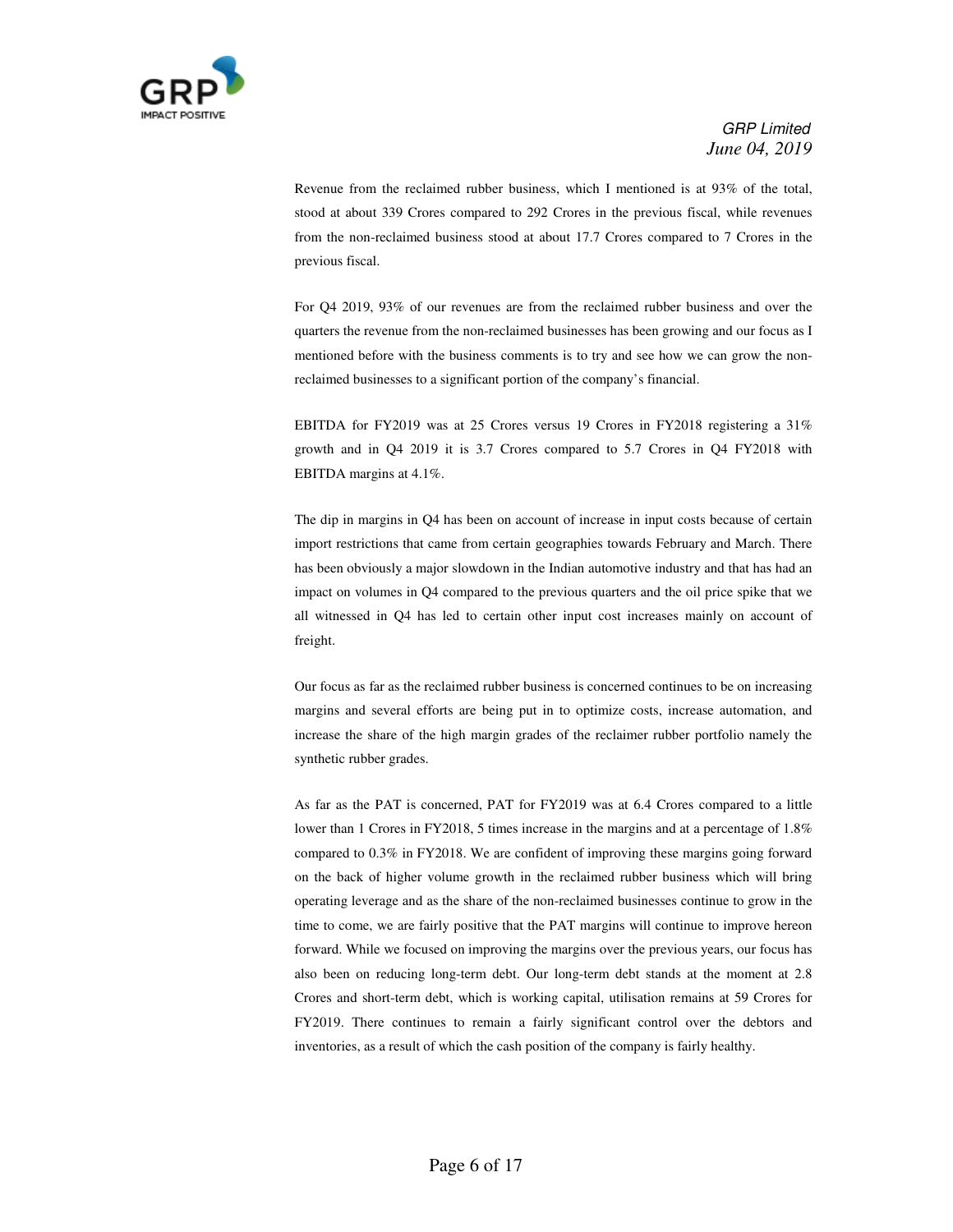

 Revenue from the reclaimed rubber business, which I mentioned is at 93% of the total, stood at about 339 Crores compared to 292 Crores in the previous fiscal, while revenues from the non-reclaimed business stood at about 17.7 Crores compared to 7 Crores in the previous fiscal.

 For Q4 2019, 93% of our revenues are from the reclaimed rubber business and over the quarters the revenue from the non-reclaimed businesses has been growing and our focus as I mentioned before with the business comments is to try and see how we can grow the nonreclaimed businesses to a significant portion of the company's financial.

 EBITDA for FY2019 was at 25 Crores versus 19 Crores in FY2018 registering a 31% growth and in Q4 2019 it is 3.7 Crores compared to 5.7 Crores in Q4 FY2018 with EBITDA margins at 4.1%.

 The dip in margins in Q4 has been on account of increase in input costs because of certain import restrictions that came from certain geographies towards February and March. There has been obviously a major slowdown in the Indian automotive industry and that has had an impact on volumes in Q4 compared to the previous quarters and the oil price spike that we all witnessed in Q4 has led to certain other input cost increases mainly on account of freight.

 Our focus as far as the reclaimed rubber business is concerned continues to be on increasing margins and several efforts are being put in to optimize costs, increase automation, and increase the share of the high margin grades of the reclaimer rubber portfolio namely the synthetic rubber grades.

 As far as the PAT is concerned, PAT for FY2019 was at 6.4 Crores compared to a little lower than 1 Crores in FY2018, 5 times increase in the margins and at a percentage of 1.8% compared to 0.3% in FY2018. We are confident of improving these margins going forward on the back of higher volume growth in the reclaimed rubber business which will bring operating leverage and as the share of the non-reclaimed businesses continue to grow in the time to come, we are fairly positive that the PAT margins will continue to improve hereon forward. While we focused on improving the margins over the previous years, our focus has also been on reducing long-term debt. Our long-term debt stands at the moment at 2.8 Crores and short-term debt, which is working capital, utilisation remains at 59 Crores for FY2019. There continues to remain a fairly significant control over the debtors and inventories, as a result of which the cash position of the company is fairly healthy.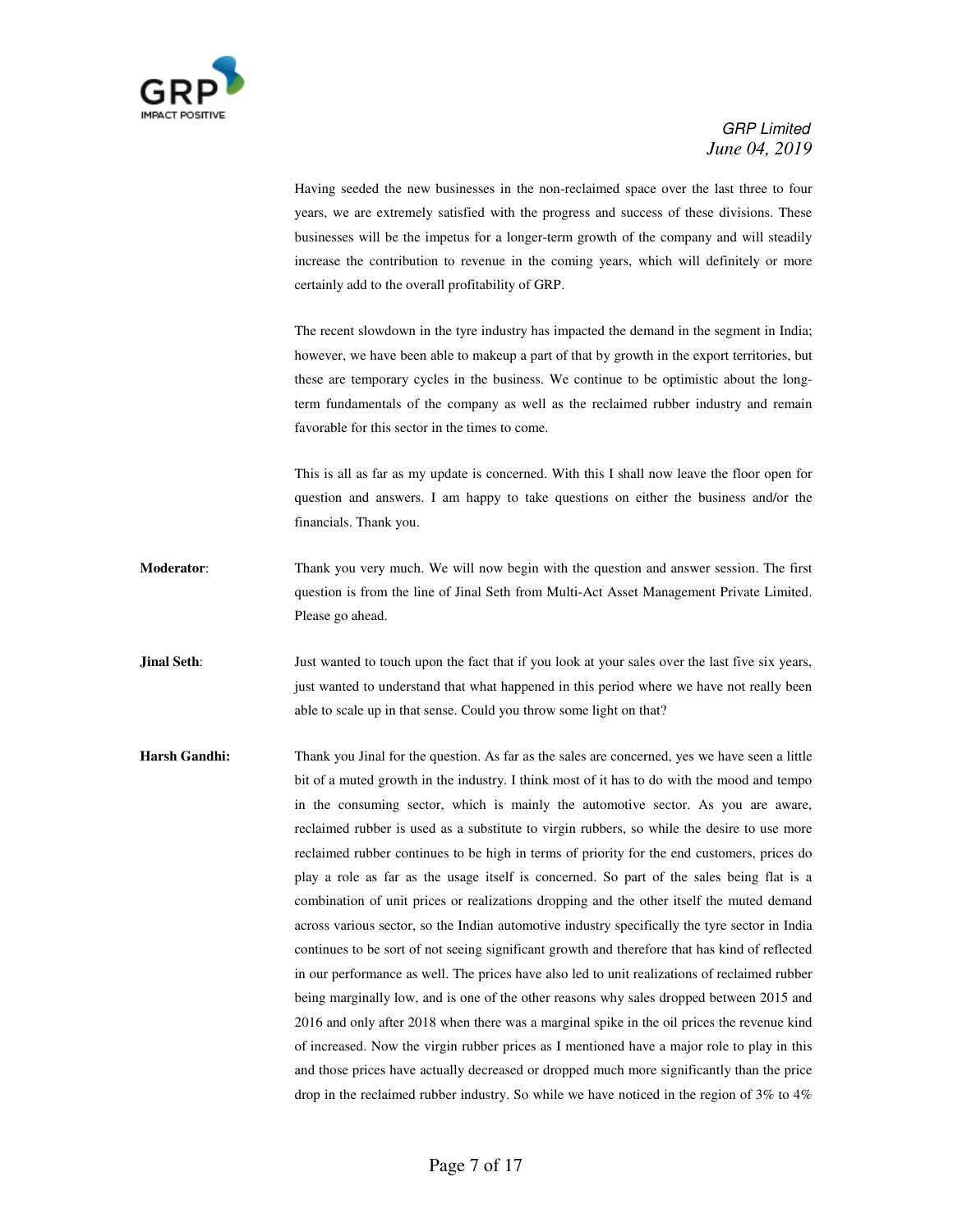

 Having seeded the new businesses in the non-reclaimed space over the last three to four years, we are extremely satisfied with the progress and success of these divisions. These businesses will be the impetus for a longer-term growth of the company and will steadily increase the contribution to revenue in the coming years, which will definitely or more certainly add to the overall profitability of GRP.

 The recent slowdown in the tyre industry has impacted the demand in the segment in India; however, we have been able to makeup a part of that by growth in the export territories, but these are temporary cycles in the business. We continue to be optimistic about the longterm fundamentals of the company as well as the reclaimed rubber industry and remain favorable for this sector in the times to come.

This is all as far as my update is concerned. With this I shall now leave the floor open for question and answers. I am happy to take questions on either the business and/or the financials. Thank you.

**Moderator**: Thank you very much. We will now begin with the question and answer session. The first question is from the line of Jinal Seth from Multi-Act Asset Management Private Limited. Please go ahead.

**Jinal Seth**: Just wanted to touch upon the fact that if you look at your sales over the last five six years, just wanted to understand that what happened in this period where we have not really been able to scale up in that sense. Could you throw some light on that?

**Harsh Gandhi:** Thank you Jinal for the question. As far as the sales are concerned, yes we have seen a little bit of a muted growth in the industry. I think most of it has to do with the mood and tempo in the consuming sector, which is mainly the automotive sector. As you are aware, reclaimed rubber is used as a substitute to virgin rubbers, so while the desire to use more reclaimed rubber continues to be high in terms of priority for the end customers, prices do play a role as far as the usage itself is concerned. So part of the sales being flat is a combination of unit prices or realizations dropping and the other itself the muted demand across various sector, so the Indian automotive industry specifically the tyre sector in India continues to be sort of not seeing significant growth and therefore that has kind of reflected in our performance as well. The prices have also led to unit realizations of reclaimed rubber being marginally low, and is one of the other reasons why sales dropped between 2015 and 2016 and only after 2018 when there was a marginal spike in the oil prices the revenue kind of increased. Now the virgin rubber prices as I mentioned have a major role to play in this and those prices have actually decreased or dropped much more significantly than the price drop in the reclaimed rubber industry. So while we have noticed in the region of 3% to 4%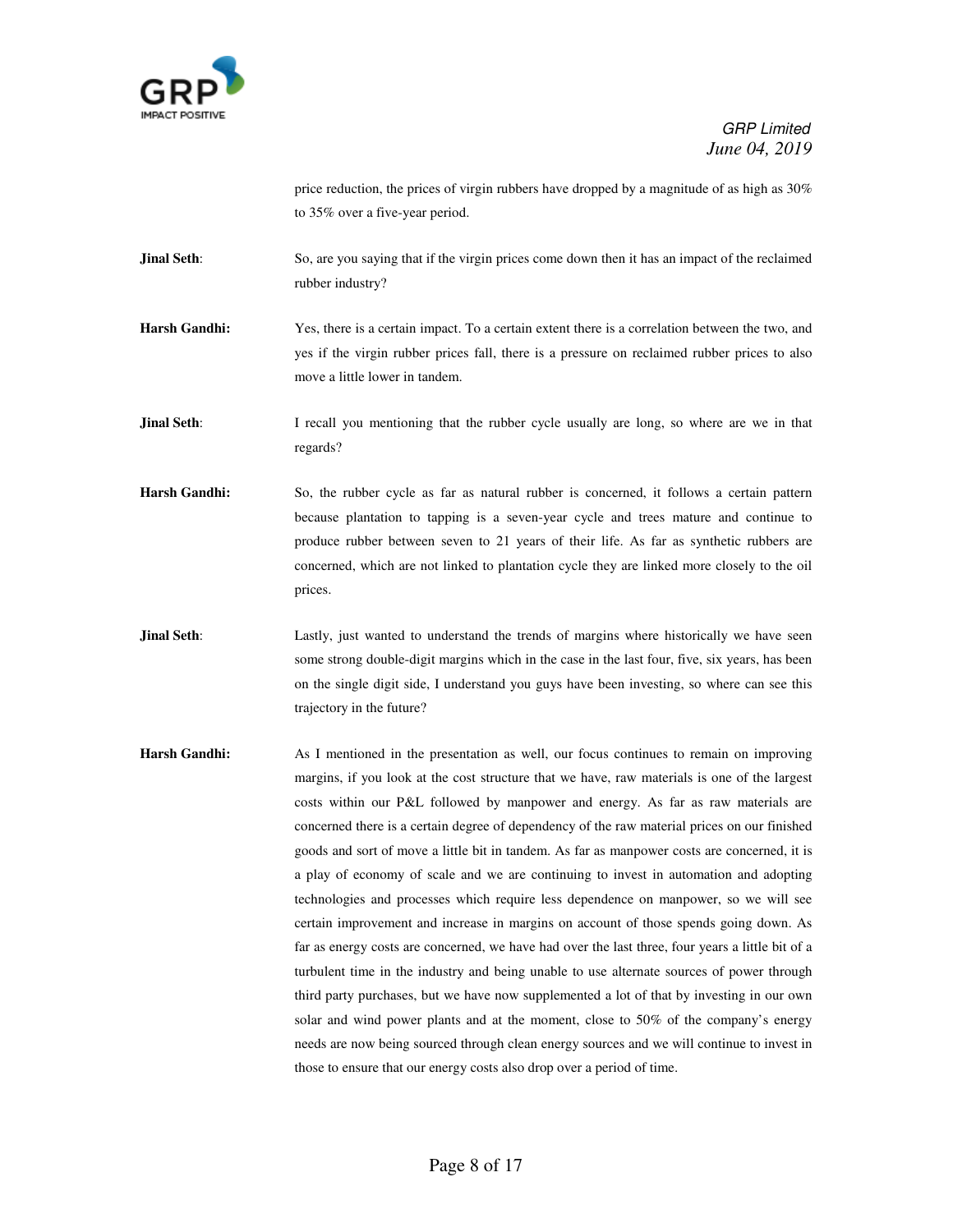

price reduction, the prices of virgin rubbers have dropped by a magnitude of as high as 30% to 35% over a five-year period.

**Jinal Seth**: So, are you saying that if the virgin prices come down then it has an impact of the reclaimed rubber industry?

**Harsh Gandhi:** Yes, there is a certain impact. To a certain extent there is a correlation between the two, and yes if the virgin rubber prices fall, there is a pressure on reclaimed rubber prices to also move a little lower in tandem.

**Jinal Seth**: I recall you mentioning that the rubber cycle usually are long, so where are we in that regards?

**Harsh Gandhi:** So, the rubber cycle as far as natural rubber is concerned, it follows a certain pattern because plantation to tapping is a seven-year cycle and trees mature and continue to produce rubber between seven to 21 years of their life. As far as synthetic rubbers are concerned, which are not linked to plantation cycle they are linked more closely to the oil prices.

**Jinal Seth**: Lastly, just wanted to understand the trends of margins where historically we have seen some strong double-digit margins which in the case in the last four, five, six years, has been on the single digit side, I understand you guys have been investing, so where can see this trajectory in the future?

**Harsh Gandhi:** As I mentioned in the presentation as well, our focus continues to remain on improving margins, if you look at the cost structure that we have, raw materials is one of the largest costs within our P&L followed by manpower and energy. As far as raw materials are concerned there is a certain degree of dependency of the raw material prices on our finished goods and sort of move a little bit in tandem. As far as manpower costs are concerned, it is a play of economy of scale and we are continuing to invest in automation and adopting technologies and processes which require less dependence on manpower, so we will see certain improvement and increase in margins on account of those spends going down. As far as energy costs are concerned, we have had over the last three, four years a little bit of a turbulent time in the industry and being unable to use alternate sources of power through third party purchases, but we have now supplemented a lot of that by investing in our own solar and wind power plants and at the moment, close to 50% of the company's energy needs are now being sourced through clean energy sources and we will continue to invest in those to ensure that our energy costs also drop over a period of time.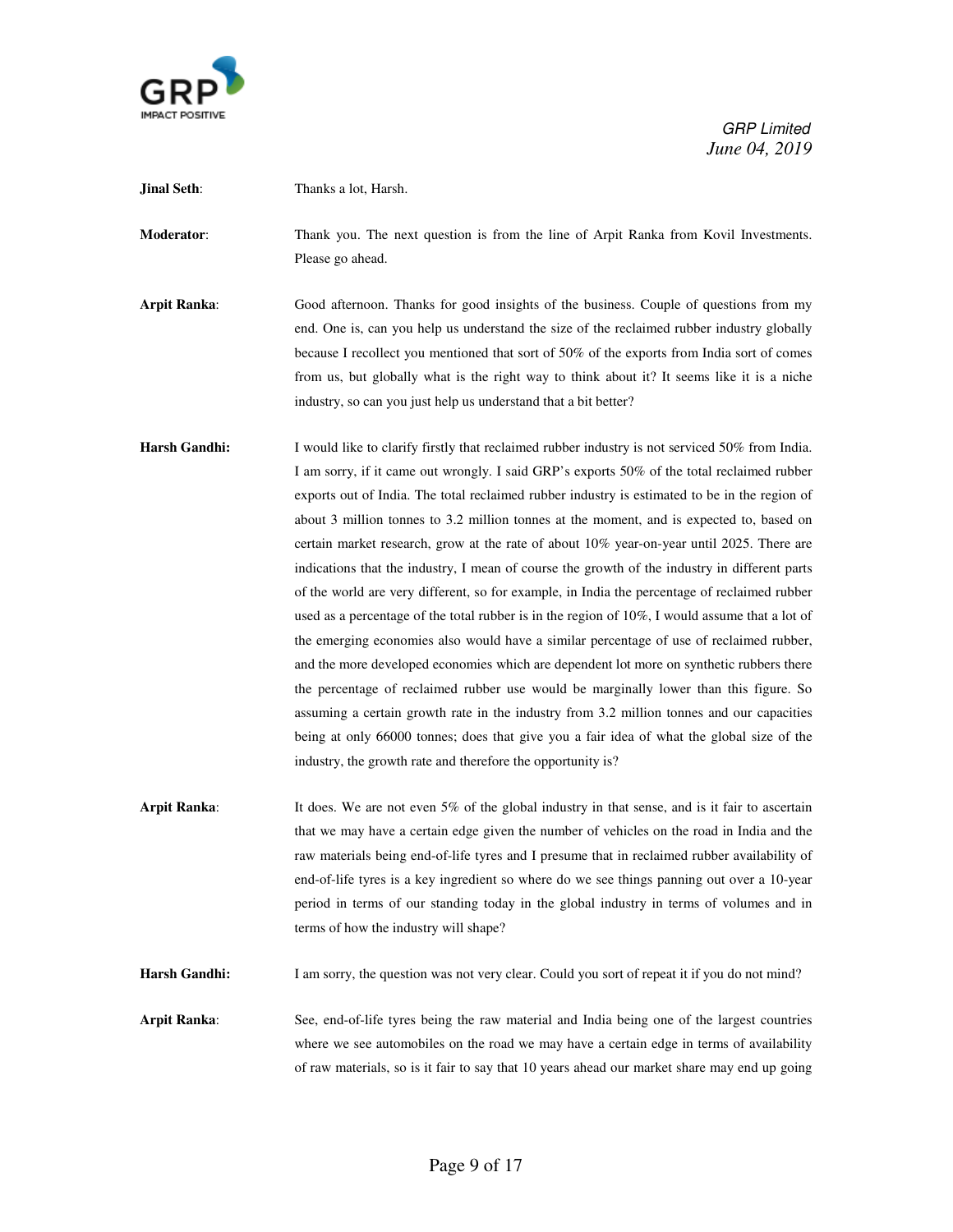

**Jinal Seth:** Thanks a lot, Harsh. **Moderator**: Thank you. The next question is from the line of Arpit Ranka from Kovil Investments. Please go ahead. **Arpit Ranka**: Good afternoon. Thanks for good insights of the business. Couple of questions from my end. One is, can you help us understand the size of the reclaimed rubber industry globally because I recollect you mentioned that sort of 50% of the exports from India sort of comes from us, but globally what is the right way to think about it? It seems like it is a niche industry, so can you just help us understand that a bit better? **Harsh Gandhi:** I would like to clarify firstly that reclaimed rubber industry is not serviced 50% from India. I am sorry, if it came out wrongly. I said GRP's exports 50% of the total reclaimed rubber exports out of India. The total reclaimed rubber industry is estimated to be in the region of about 3 million tonnes to 3.2 million tonnes at the moment, and is expected to, based on certain market research, grow at the rate of about 10% year-on-year until 2025. There are indications that the industry, I mean of course the growth of the industry in different parts of the world are very different, so for example, in India the percentage of reclaimed rubber used as a percentage of the total rubber is in the region of 10%, I would assume that a lot of the emerging economies also would have a similar percentage of use of reclaimed rubber, and the more developed economies which are dependent lot more on synthetic rubbers there the percentage of reclaimed rubber use would be marginally lower than this figure. So assuming a certain growth rate in the industry from 3.2 million tonnes and our capacities being at only 66000 tonnes; does that give you a fair idea of what the global size of the industry, the growth rate and therefore the opportunity is? **Arpit Ranka**: It does. We are not even 5% of the global industry in that sense, and is it fair to ascertain that we may have a certain edge given the number of vehicles on the road in India and the raw materials being end-of-life tyres and I presume that in reclaimed rubber availability of end-of-life tyres is a key ingredient so where do we see things panning out over a 10-year period in terms of our standing today in the global industry in terms of volumes and in terms of how the industry will shape? Harsh Gandhi: I am sorry, the question was not very clear. Could you sort of repeat it if you do not mind?

**Arpit Ranka**: See, end-of-life tyres being the raw material and India being one of the largest countries where we see automobiles on the road we may have a certain edge in terms of availability of raw materials, so is it fair to say that 10 years ahead our market share may end up going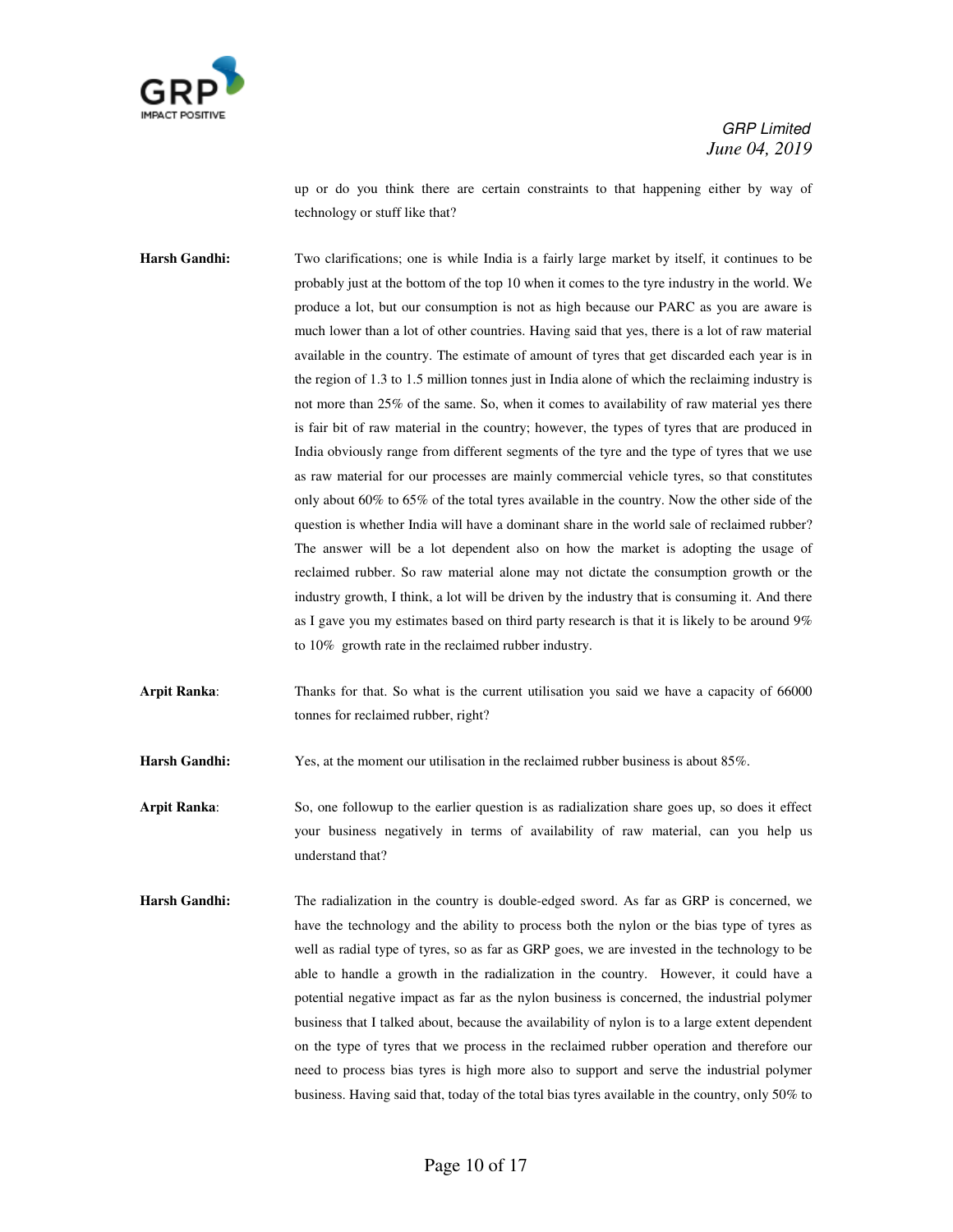

up or do you think there are certain constraints to that happening either by way of technology or stuff like that?

**Harsh Gandhi:** Two clarifications; one is while India is a fairly large market by itself, it continues to be probably just at the bottom of the top 10 when it comes to the tyre industry in the world. We produce a lot, but our consumption is not as high because our PARC as you are aware is much lower than a lot of other countries. Having said that yes, there is a lot of raw material available in the country. The estimate of amount of tyres that get discarded each year is in the region of 1.3 to 1.5 million tonnes just in India alone of which the reclaiming industry is not more than 25% of the same. So, when it comes to availability of raw material yes there is fair bit of raw material in the country; however, the types of tyres that are produced in India obviously range from different segments of the tyre and the type of tyres that we use as raw material for our processes are mainly commercial vehicle tyres, so that constitutes only about 60% to 65% of the total tyres available in the country. Now the other side of the question is whether India will have a dominant share in the world sale of reclaimed rubber? The answer will be a lot dependent also on how the market is adopting the usage of reclaimed rubber. So raw material alone may not dictate the consumption growth or the industry growth, I think, a lot will be driven by the industry that is consuming it. And there as I gave you my estimates based on third party research is that it is likely to be around 9% to 10% growth rate in the reclaimed rubber industry.

**Arpit Ranka**: Thanks for that. So what is the current utilisation you said we have a capacity of 66000 tonnes for reclaimed rubber, right?

**Harsh Gandhi:** Yes, at the moment our utilisation in the reclaimed rubber business is about 85%.

**Arpit Ranka**: So, one followup to the earlier question is as radialization share goes up, so does it effect your business negatively in terms of availability of raw material, can you help us understand that?

**Harsh Gandhi:** The radialization in the country is double-edged sword. As far as GRP is concerned, we have the technology and the ability to process both the nylon or the bias type of tyres as well as radial type of tyres, so as far as GRP goes, we are invested in the technology to be able to handle a growth in the radialization in the country. However, it could have a potential negative impact as far as the nylon business is concerned, the industrial polymer business that I talked about, because the availability of nylon is to a large extent dependent on the type of tyres that we process in the reclaimed rubber operation and therefore our need to process bias tyres is high more also to support and serve the industrial polymer business. Having said that, today of the total bias tyres available in the country, only 50% to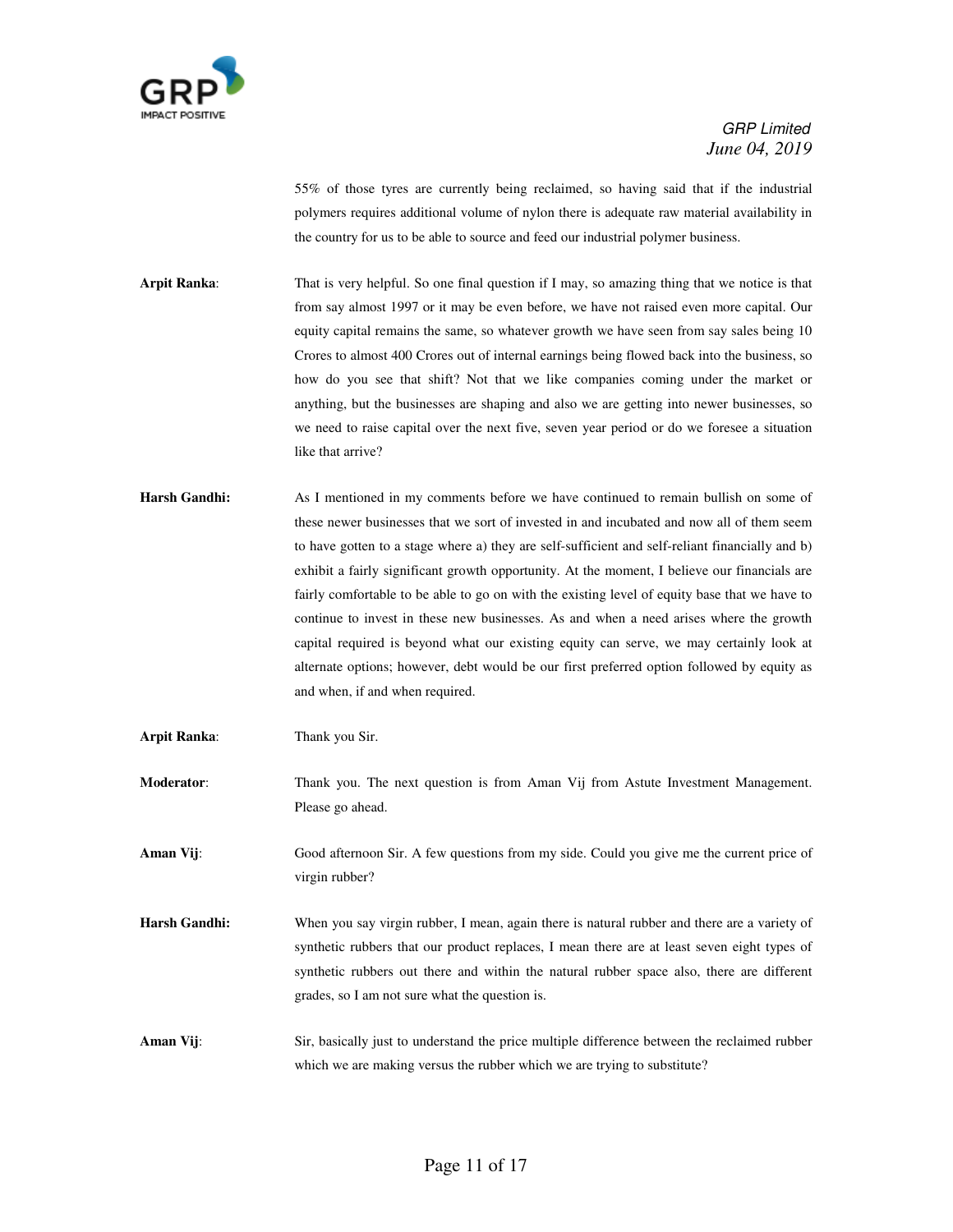

55% of those tyres are currently being reclaimed, so having said that if the industrial polymers requires additional volume of nylon there is adequate raw material availability in the country for us to be able to source and feed our industrial polymer business.

**Arpit Ranka**: That is very helpful. So one final question if I may, so amazing thing that we notice is that from say almost 1997 or it may be even before, we have not raised even more capital. Our equity capital remains the same, so whatever growth we have seen from say sales being 10 Crores to almost 400 Crores out of internal earnings being flowed back into the business, so how do you see that shift? Not that we like companies coming under the market or anything, but the businesses are shaping and also we are getting into newer businesses, so we need to raise capital over the next five, seven year period or do we foresee a situation like that arrive?

- **Harsh Gandhi:** As I mentioned in my comments before we have continued to remain bullish on some of these newer businesses that we sort of invested in and incubated and now all of them seem to have gotten to a stage where a) they are self-sufficient and self-reliant financially and b) exhibit a fairly significant growth opportunity. At the moment, I believe our financials are fairly comfortable to be able to go on with the existing level of equity base that we have to continue to invest in these new businesses. As and when a need arises where the growth capital required is beyond what our existing equity can serve, we may certainly look at alternate options; however, debt would be our first preferred option followed by equity as and when, if and when required.
- **Arpit Ranka**: Thank you Sir.

**Moderator:** Thank you. The next question is from Aman Vij from Astute Investment Management. Please go ahead.

**Aman Vij:** Good afternoon Sir. A few questions from my side. Could you give me the current price of virgin rubber?

- **Harsh Gandhi:** When you say virgin rubber, I mean, again there is natural rubber and there are a variety of synthetic rubbers that our product replaces, I mean there are at least seven eight types of synthetic rubbers out there and within the natural rubber space also, there are different grades, so I am not sure what the question is.
- **Aman Vij**: Sir, basically just to understand the price multiple difference between the reclaimed rubber which we are making versus the rubber which we are trying to substitute?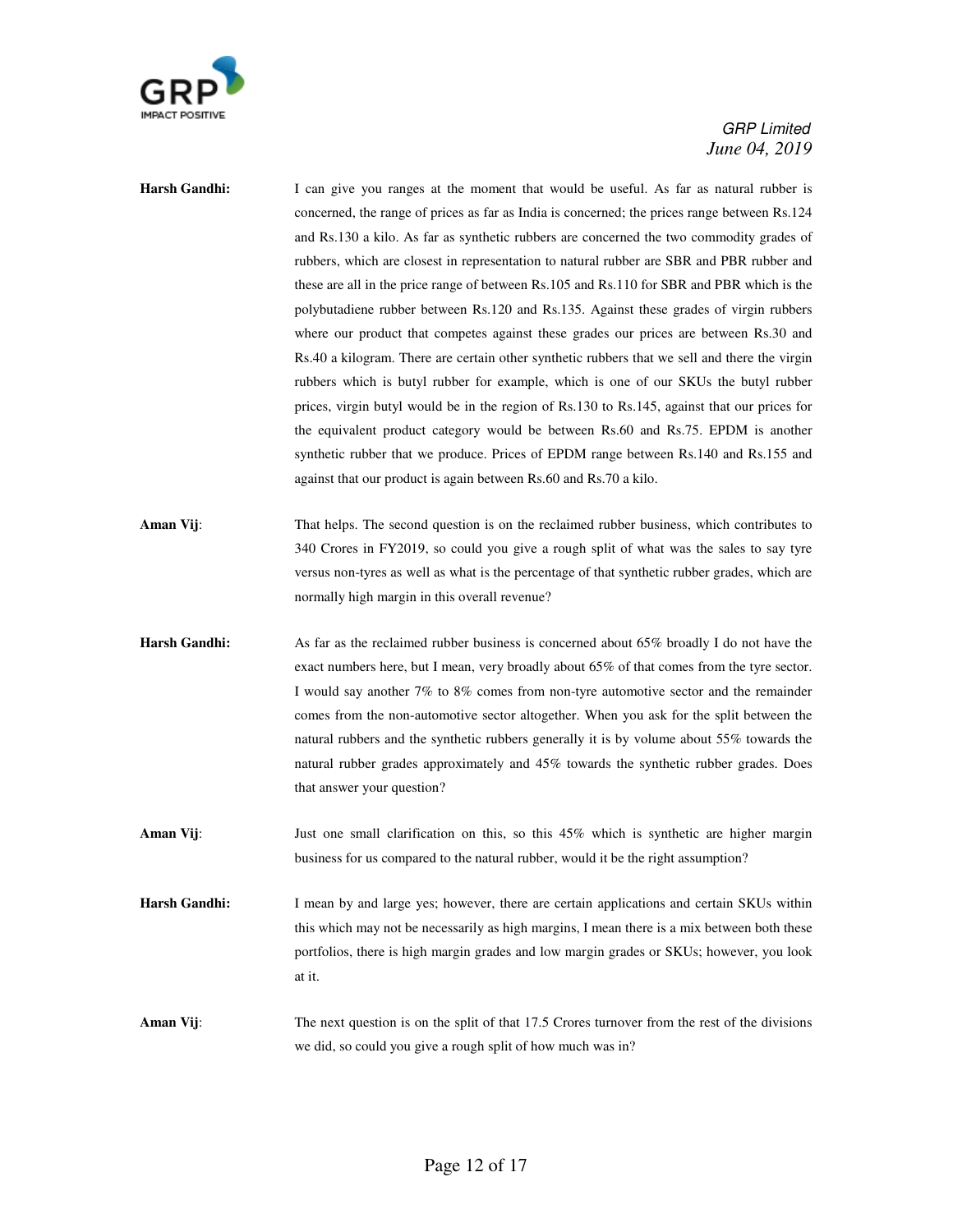

- **Harsh Gandhi:** I can give you ranges at the moment that would be useful. As far as natural rubber is concerned, the range of prices as far as India is concerned; the prices range between Rs.124 and Rs.130 a kilo. As far as synthetic rubbers are concerned the two commodity grades of rubbers, which are closest in representation to natural rubber are SBR and PBR rubber and these are all in the price range of between Rs.105 and Rs.110 for SBR and PBR which is the polybutadiene rubber between Rs.120 and Rs.135. Against these grades of virgin rubbers where our product that competes against these grades our prices are between Rs.30 and Rs.40 a kilogram. There are certain other synthetic rubbers that we sell and there the virgin rubbers which is butyl rubber for example, which is one of our SKUs the butyl rubber prices, virgin butyl would be in the region of Rs.130 to Rs.145, against that our prices for the equivalent product category would be between Rs.60 and Rs.75. EPDM is another synthetic rubber that we produce. Prices of EPDM range between Rs.140 and Rs.155 and against that our product is again between Rs.60 and Rs.70 a kilo.
- **Aman Vij:** That helps. The second question is on the reclaimed rubber business, which contributes to 340 Crores in FY2019, so could you give a rough split of what was the sales to say tyre versus non-tyres as well as what is the percentage of that synthetic rubber grades, which are normally high margin in this overall revenue?
- **Harsh Gandhi:** As far as the reclaimed rubber business is concerned about 65% broadly I do not have the exact numbers here, but I mean, very broadly about 65% of that comes from the tyre sector. I would say another 7% to 8% comes from non-tyre automotive sector and the remainder comes from the non-automotive sector altogether. When you ask for the split between the natural rubbers and the synthetic rubbers generally it is by volume about 55% towards the natural rubber grades approximately and 45% towards the synthetic rubber grades. Does that answer your question?
- **Aman Vij**: Just one small clarification on this, so this 45% which is synthetic are higher margin business for us compared to the natural rubber, would it be the right assumption?
- **Harsh Gandhi:** I mean by and large yes; however, there are certain applications and certain SKUs within this which may not be necessarily as high margins, I mean there is a mix between both these portfolios, there is high margin grades and low margin grades or SKUs; however, you look at it.
- **Aman Vij**: The next question is on the split of that 17.5 Crores turnover from the rest of the divisions we did, so could you give a rough split of how much was in?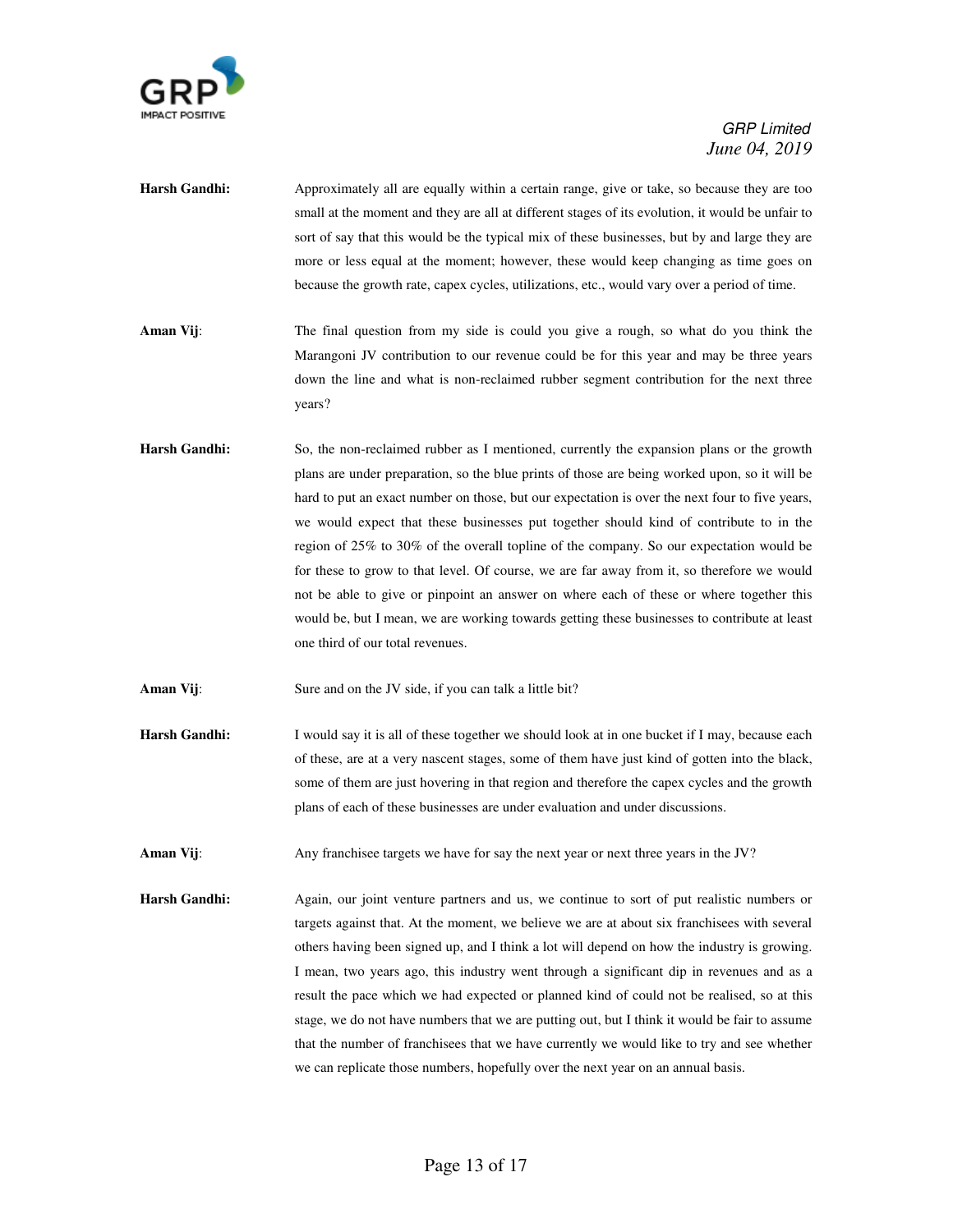

- Harsh Gandhi: **Approximately all are equally within a certain range**, give or take, so because they are too small at the moment and they are all at different stages of its evolution, it would be unfair to sort of say that this would be the typical mix of these businesses, but by and large they are more or less equal at the moment; however, these would keep changing as time goes on because the growth rate, capex cycles, utilizations, etc., would vary over a period of time.
- **Aman Vij:** The final question from my side is could you give a rough, so what do you think the Marangoni JV contribution to our revenue could be for this year and may be three years down the line and what is non-reclaimed rubber segment contribution for the next three years?
- **Harsh Gandhi:** So, the non-reclaimed rubber as I mentioned, currently the expansion plans or the growth plans are under preparation, so the blue prints of those are being worked upon, so it will be hard to put an exact number on those, but our expectation is over the next four to five years, we would expect that these businesses put together should kind of contribute to in the region of 25% to 30% of the overall topline of the company. So our expectation would be for these to grow to that level. Of course, we are far away from it, so therefore we would not be able to give or pinpoint an answer on where each of these or where together this would be, but I mean, we are working towards getting these businesses to contribute at least one third of our total revenues.

Aman Vij: Sure and on the JV side, if you can talk a little bit?

**Harsh Gandhi:** I would say it is all of these together we should look at in one bucket if I may, because each of these, are at a very nascent stages, some of them have just kind of gotten into the black, some of them are just hovering in that region and therefore the capex cycles and the growth plans of each of these businesses are under evaluation and under discussions.

Aman Vij: Any franchise targets we have for say the next year or next three years in the JV?

**Harsh Gandhi:** Again, our joint venture partners and us, we continue to sort of put realistic numbers or targets against that. At the moment, we believe we are at about six franchisees with several others having been signed up, and I think a lot will depend on how the industry is growing. I mean, two years ago, this industry went through a significant dip in revenues and as a result the pace which we had expected or planned kind of could not be realised, so at this stage, we do not have numbers that we are putting out, but I think it would be fair to assume that the number of franchisees that we have currently we would like to try and see whether we can replicate those numbers, hopefully over the next year on an annual basis.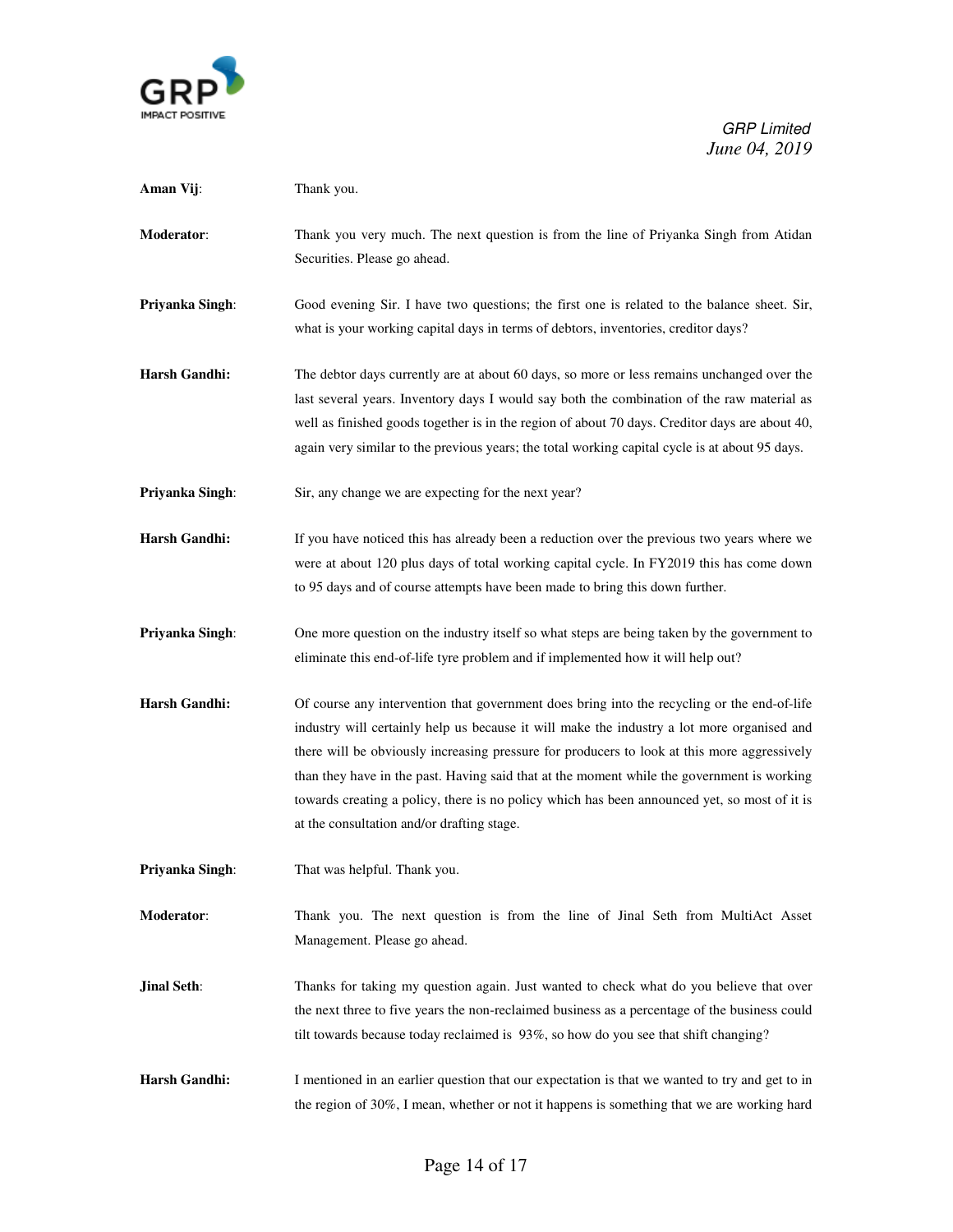

| Aman Vij:            | Thank you.                                                                                                                                                                                                                                                                                                                                                                                                                                                                                                                           |
|----------------------|--------------------------------------------------------------------------------------------------------------------------------------------------------------------------------------------------------------------------------------------------------------------------------------------------------------------------------------------------------------------------------------------------------------------------------------------------------------------------------------------------------------------------------------|
| <b>Moderator:</b>    | Thank you very much. The next question is from the line of Priyanka Singh from Atidan<br>Securities. Please go ahead.                                                                                                                                                                                                                                                                                                                                                                                                                |
| Priyanka Singh:      | Good evening Sir. I have two questions; the first one is related to the balance sheet. Sir,<br>what is your working capital days in terms of debtors, inventories, creditor days?                                                                                                                                                                                                                                                                                                                                                    |
| <b>Harsh Gandhi:</b> | The debtor days currently are at about 60 days, so more or less remains unchanged over the<br>last several years. Inventory days I would say both the combination of the raw material as<br>well as finished goods together is in the region of about 70 days. Creditor days are about 40,<br>again very similar to the previous years; the total working capital cycle is at about 95 days.                                                                                                                                         |
| Priyanka Singh:      | Sir, any change we are expecting for the next year?                                                                                                                                                                                                                                                                                                                                                                                                                                                                                  |
| <b>Harsh Gandhi:</b> | If you have noticed this has already been a reduction over the previous two years where we<br>were at about 120 plus days of total working capital cycle. In FY2019 this has come down<br>to 95 days and of course attempts have been made to bring this down further.                                                                                                                                                                                                                                                               |
| Priyanka Singh:      | One more question on the industry itself so what steps are being taken by the government to<br>eliminate this end-of-life tyre problem and if implemented how it will help out?                                                                                                                                                                                                                                                                                                                                                      |
| <b>Harsh Gandhi:</b> | Of course any intervention that government does bring into the recycling or the end-of-life<br>industry will certainly help us because it will make the industry a lot more organised and<br>there will be obviously increasing pressure for producers to look at this more aggressively<br>than they have in the past. Having said that at the moment while the government is working<br>towards creating a policy, there is no policy which has been announced yet, so most of it is<br>at the consultation and/or drafting stage. |
| Priyanka Singh:      | That was helpful. Thank you.                                                                                                                                                                                                                                                                                                                                                                                                                                                                                                         |
| <b>Moderator:</b>    | Thank you. The next question is from the line of Jinal Seth from MultiAct Asset<br>Management. Please go ahead.                                                                                                                                                                                                                                                                                                                                                                                                                      |
| <b>Jinal Seth:</b>   | Thanks for taking my question again. Just wanted to check what do you believe that over<br>the next three to five years the non-reclaimed business as a percentage of the business could<br>tilt towards because today reclaimed is 93%, so how do you see that shift changing?                                                                                                                                                                                                                                                      |
| <b>Harsh Gandhi:</b> | I mentioned in an earlier question that our expectation is that we wanted to try and get to in<br>the region of $30\%$ , I mean, whether or not it happens is something that we are working hard                                                                                                                                                                                                                                                                                                                                     |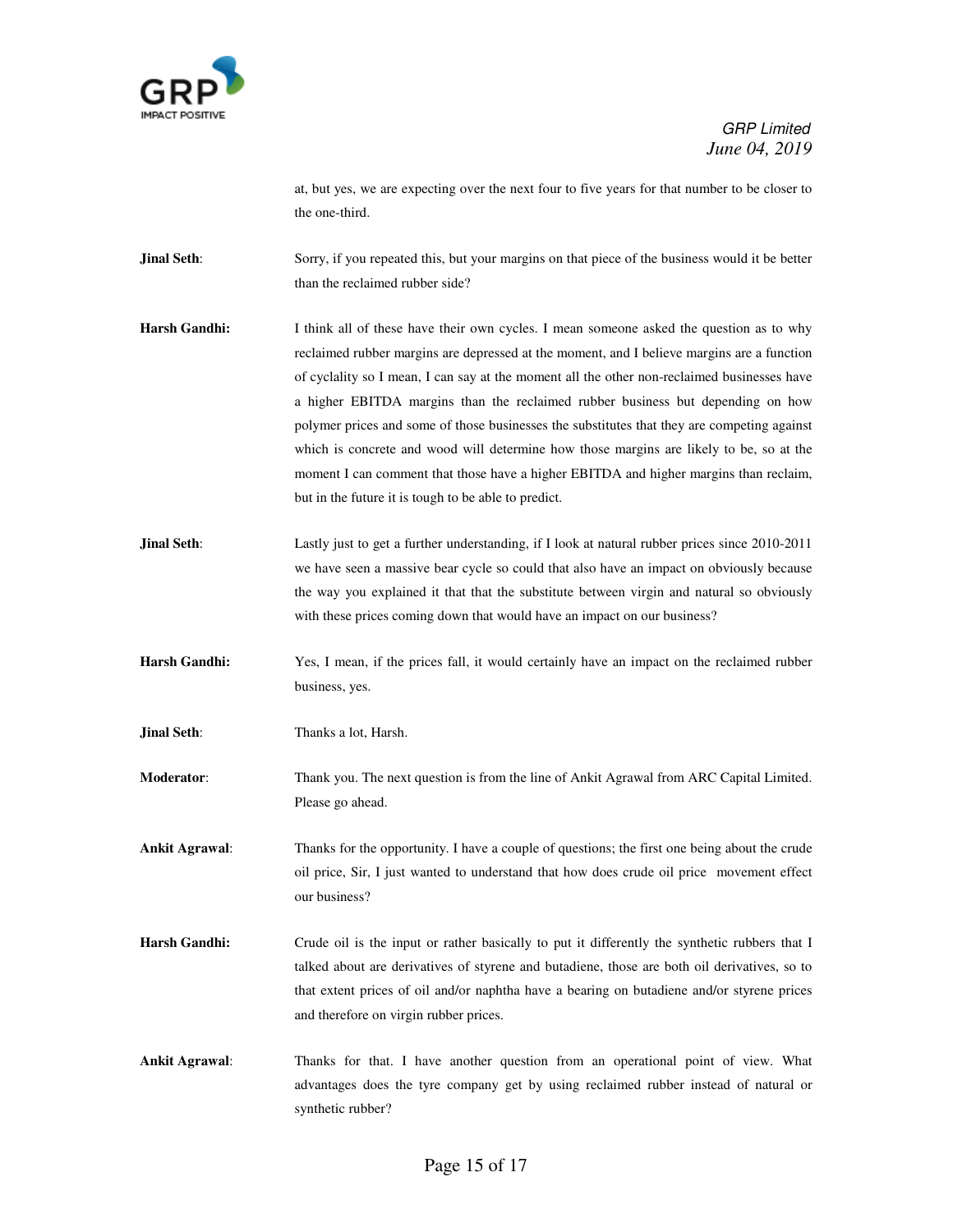

at, but yes, we are expecting over the next four to five years for that number to be closer to the one-third.

**Jinal Seth**: Sorry, if you repeated this, but your margins on that piece of the business would it be better than the reclaimed rubber side?

- **Harsh Gandhi:** I think all of these have their own cycles. I mean someone asked the question as to why reclaimed rubber margins are depressed at the moment, and I believe margins are a function of cyclality so I mean, I can say at the moment all the other non-reclaimed businesses have a higher EBITDA margins than the reclaimed rubber business but depending on how polymer prices and some of those businesses the substitutes that they are competing against which is concrete and wood will determine how those margins are likely to be, so at the moment I can comment that those have a higher EBITDA and higher margins than reclaim, but in the future it is tough to be able to predict.
- **Jinal Seth**: Lastly just to get a further understanding, if I look at natural rubber prices since 2010-2011 we have seen a massive bear cycle so could that also have an impact on obviously because the way you explained it that that the substitute between virgin and natural so obviously with these prices coming down that would have an impact on our business?
- **Harsh Gandhi:** Yes, I mean, if the prices fall, it would certainly have an impact on the reclaimed rubber business, yes.

**Jinal Seth:** Thanks a lot, Harsh.

**Moderator**: Thank you. The next question is from the line of Ankit Agrawal from ARC Capital Limited. Please go ahead.

**Ankit Agrawal**: Thanks for the opportunity. I have a couple of questions; the first one being about the crude oil price, Sir, I just wanted to understand that how does crude oil price movement effect our business?

- **Harsh Gandhi:** Crude oil is the input or rather basically to put it differently the synthetic rubbers that I talked about are derivatives of styrene and butadiene, those are both oil derivatives, so to that extent prices of oil and/or naphtha have a bearing on butadiene and/or styrene prices and therefore on virgin rubber prices.
- **Ankit Agrawal**: Thanks for that. I have another question from an operational point of view. What advantages does the tyre company get by using reclaimed rubber instead of natural or synthetic rubber?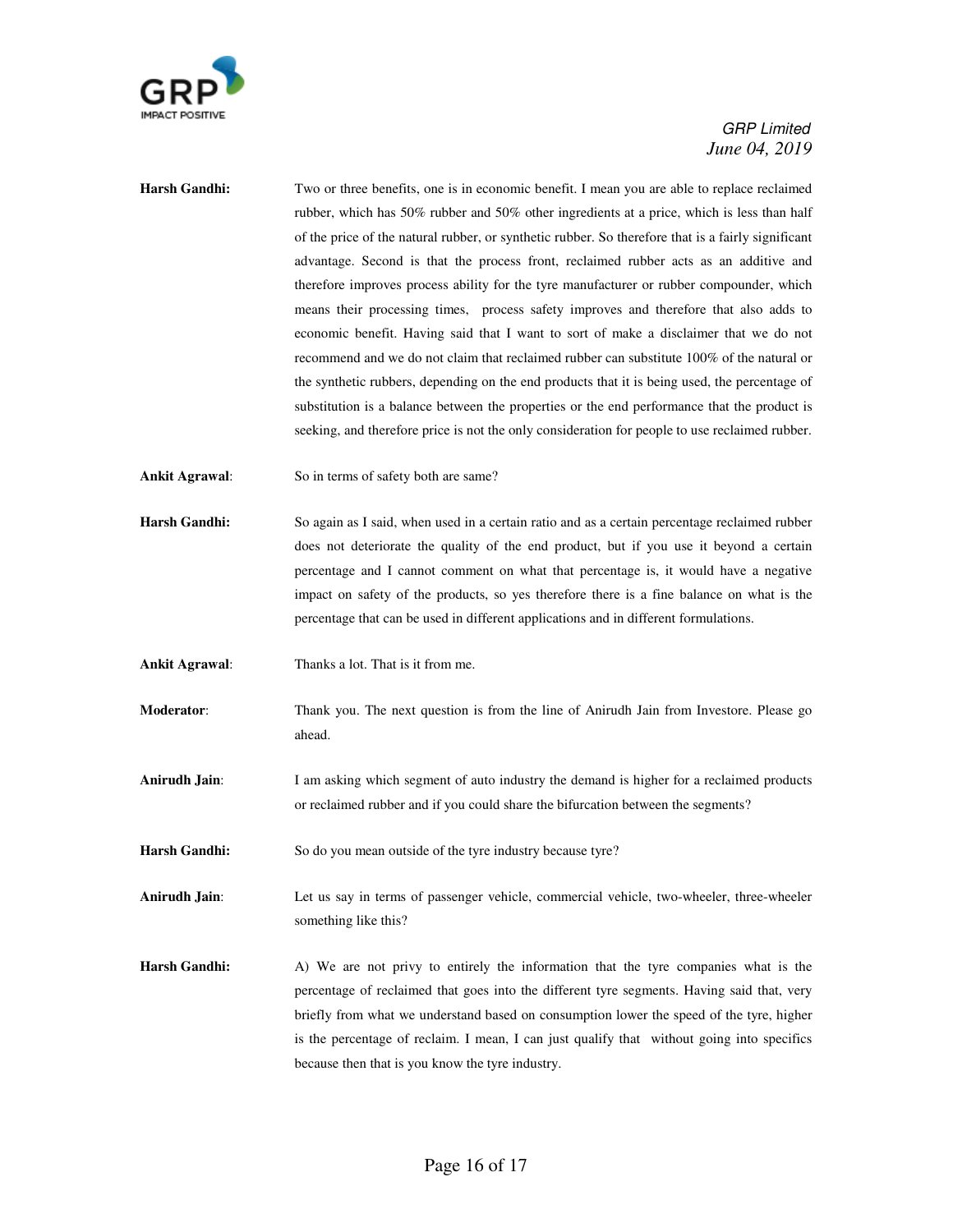

- **Harsh Gandhi:** Two or three benefits, one is in economic benefit. I mean you are able to replace reclaimed rubber, which has 50% rubber and 50% other ingredients at a price, which is less than half of the price of the natural rubber, or synthetic rubber. So therefore that is a fairly significant advantage. Second is that the process front, reclaimed rubber acts as an additive and therefore improves process ability for the tyre manufacturer or rubber compounder, which means their processing times, process safety improves and therefore that also adds to economic benefit. Having said that I want to sort of make a disclaimer that we do not recommend and we do not claim that reclaimed rubber can substitute 100% of the natural or the synthetic rubbers, depending on the end products that it is being used, the percentage of substitution is a balance between the properties or the end performance that the product is seeking, and therefore price is not the only consideration for people to use reclaimed rubber.
- **Ankit Agrawal**: So in terms of safety both are same?
- **Harsh Gandhi:** So again as I said, when used in a certain ratio and as a certain percentage reclaimed rubber does not deteriorate the quality of the end product, but if you use it beyond a certain percentage and I cannot comment on what that percentage is, it would have a negative impact on safety of the products, so yes therefore there is a fine balance on what is the percentage that can be used in different applications and in different formulations.
- **Ankit Agrawal**: Thanks a lot. That is it from me.
- **Moderator**: Thank you. The next question is from the line of Anirudh Jain from Investore. Please go ahead.
- **Anirudh Jain:** I am asking which segment of auto industry the demand is higher for a reclaimed products or reclaimed rubber and if you could share the bifurcation between the segments?
- Harsh Gandhi: So do you mean outside of the tyre industry because tyre?
- **Anirudh Jain**: Let us say in terms of passenger vehicle, commercial vehicle, two-wheeler, three-wheeler something like this?
- **Harsh Gandhi:** A) We are not privy to entirely the information that the tyre companies what is the percentage of reclaimed that goes into the different tyre segments. Having said that, very briefly from what we understand based on consumption lower the speed of the tyre, higher is the percentage of reclaim. I mean, I can just qualify that without going into specifics because then that is you know the tyre industry.